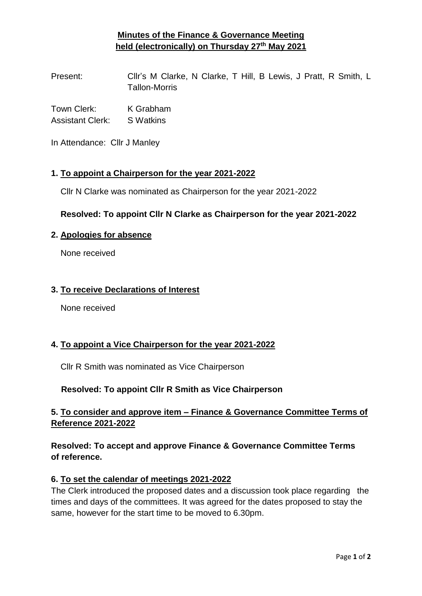# **Minutes of the Finance & Governance Meeting held (electronically) on Thursday 27th May 2021**

Present: Cllr's M Clarke, N Clarke, T Hill, B Lewis, J Pratt, R Smith, L Tallon-Morris

Town Clerk: K Grabham Assistant Clerk: S Watkins

In Attendance: Cllr J Manley

### **1. To appoint a Chairperson for the year 2021-2022**

Cllr N Clarke was nominated as Chairperson for the year 2021-2022

### **Resolved: To appoint Cllr N Clarke as Chairperson for the year 2021-2022**

#### **2. Apologies for absence**

None received

### **3. To receive Declarations of Interest**

None received

### **4. To appoint a Vice Chairperson for the year 2021-2022**

Cllr R Smith was nominated as Vice Chairperson

### **Resolved: To appoint Cllr R Smith as Vice Chairperson**

## **5. To consider and approve item – Finance & Governance Committee Terms of Reference 2021-2022**

## **Resolved: To accept and approve Finance & Governance Committee Terms of reference.**

### **6. To set the calendar of meetings 2021-2022**

The Clerk introduced the proposed dates and a discussion took place regarding the times and days of the committees. It was agreed for the dates proposed to stay the same, however for the start time to be moved to 6.30pm.